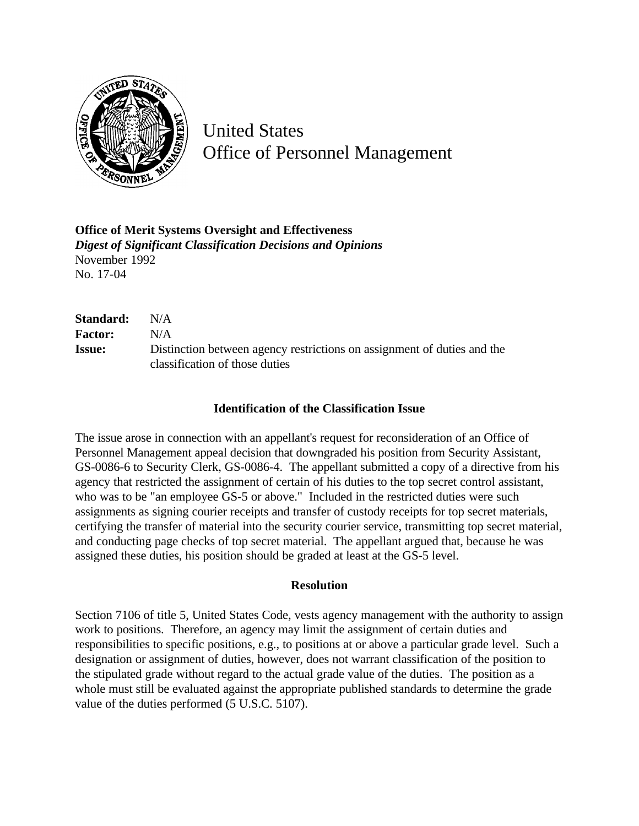

United States Office of Personnel Management

**Office of Merit Systems Oversight and Effectiveness** *Digest of Significant Classification Decisions and Opinions* November 1992 No. 17-04

| Standard:      | N/A                                                                     |
|----------------|-------------------------------------------------------------------------|
| <b>Factor:</b> | N/A                                                                     |
| <b>Issue:</b>  | Distinction between agency restrictions on assignment of duties and the |
|                | classification of those duties                                          |

## **Identification of the Classification Issue**

The issue arose in connection with an appellant's request for reconsideration of an Office of Personnel Management appeal decision that downgraded his position from Security Assistant, GS-0086-6 to Security Clerk, GS-0086-4. The appellant submitted a copy of a directive from his agency that restricted the assignment of certain of his duties to the top secret control assistant, who was to be "an employee GS-5 or above." Included in the restricted duties were such assignments as signing courier receipts and transfer of custody receipts for top secret materials, certifying the transfer of material into the security courier service, transmitting top secret material, and conducting page checks of top secret material. The appellant argued that, because he was assigned these duties, his position should be graded at least at the GS-5 level.

## **Resolution**

Section 7106 of title 5, United States Code, vests agency management with the authority to assign work to positions. Therefore, an agency may limit the assignment of certain duties and responsibilities to specific positions, e.g., to positions at or above a particular grade level. Such a designation or assignment of duties, however, does not warrant classification of the position to the stipulated grade without regard to the actual grade value of the duties. The position as a whole must still be evaluated against the appropriate published standards to determine the grade value of the duties performed (5 U.S.C. 5107).